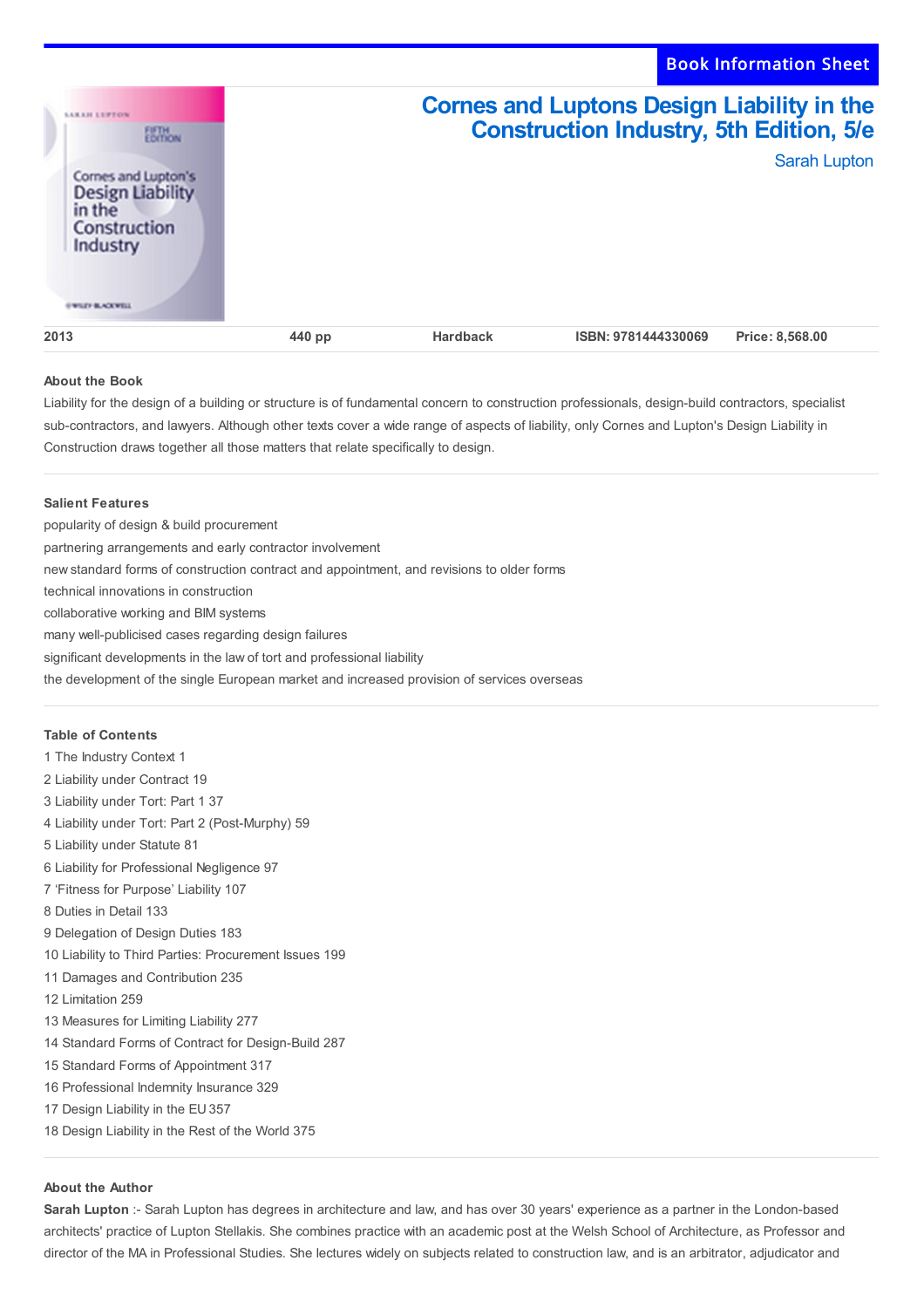

# **About the Book**

Liability for the design of a building or structure is of fundamental concern to construction professionals, design-build contractors, specialist sub-contractors, and lawyers. Although other texts cover a wide range of aspects of liability, only Cornes and Lupton's Design Liability in Construction draws together all those matters that relate specifically to design.

## **Salient Features**

popularity of design & build procurement partnering arrangements and early contractor involvement new standard forms of construction contract and appointment, and revisions to older forms technical innovations in construction collaborative working and BIM systems many well-publicised cases regarding design failures significant developments in the law of tort and professional liability the development of the single European market and increased provision of services overseas

### **Table of Contents**

 The Industry Context 1 Liability under Contract 19 Liability under Tort: Part 1 37 Liability under Tort: Part 2 (Post-Murphy) 59 Liability under Statute 81 Liability for Professional Negligence 97 'Fitness for Purpose' Liability 107 Duties in Detail 133 Delegation of Design Duties 183 Liability to Third Parties: Procurement Issues 199 Damages and Contribution 235 Limitation 259 Measures for Limiting Liability 277 Standard Forms of Contract for Design-Build 287 Standard Forms of Appointment 317 Professional Indemnity Insurance 329 Design Liability in the EU 357 Design Liability in the Rest of the World 375

# **About the Author**

**Sarah Lupton** :- Sarah Lupton has degrees in architecture and law, and has over 30 years' experience as a partner in the London-based architects' practice of Lupton Stellakis. She combines practice with an academic post at the Welsh School of Architecture, as Professor and director of the MA in Professional Studies. She lectures widely on subjects related to construction law, and is an arbitrator, adjudicator and